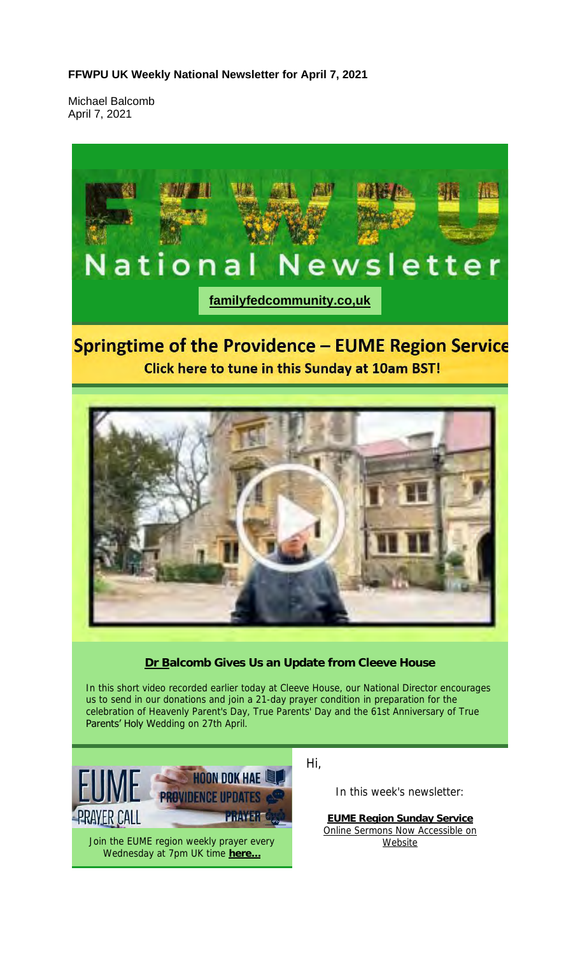#### **FFWPU UK Weekly National Newsletter for April 7, 2021**

Michael Balcomb April 7, 2021



# **Springtime of the Providence - EUME Region Service** Click here to tune in this Sunday at 10am BST!



**Dr Balcomb Gives Us an Update from Cleeve House**

In this short video recorded earlier today at Cleeve House, our National Director encourages us to send in our donations and join a 21-day prayer condition in preparation for the celebration of Heavenly Parent's Day, True Parents' Day and the 61st Anniversary of True Parents' Holy Wedding on 27th April.



Hi,

In this week's newsletter:

**EUME Region Sunday Service** Online Sermons Now Accessible on Website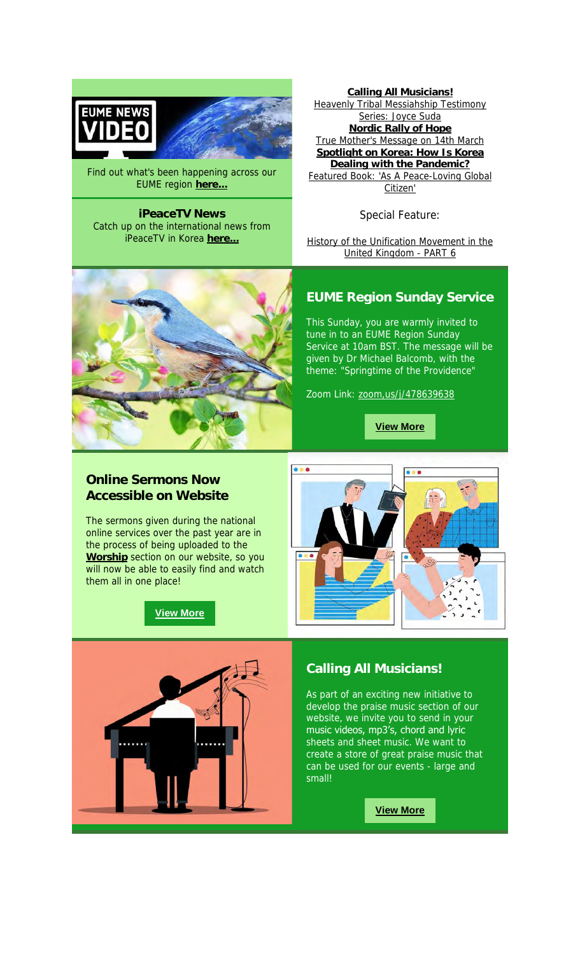



Find out what's been happening across our EUME region **here...**

**iPeaceTV News** Catch up on the international news from iPeaceTV in Korea **here...**

**Calling All Musicians!** Heavenly Tribal Messiahship Testimony Series: Joyce Suda **Nordic Rally of Hope** True Mother's Message on 14th March **Spotlight on Korea: How Is Korea Dealing with the Pandemic?** Featured Book: 'As A Peace-Loving Global Citizen'

Special Feature:

History of the Unification Movement in the United Kingdom - PART 6



This Sunday, you are warmly invited to tune in to an EUME Region Sunday Service at 10am BST. The message will be given by Dr Michael Balcomb, with the theme: "Springtime of the Providence"

Zoom Link: zoom,us/j/478639638

**View More**

## **Online Sermons Now Accessible on Website**

The sermons given during the national online services over the past year are in the process of being uploaded to the **Worship** section on our website, so you will now be able to easily find and watch them all in one place!

**View More**





## **Calling All Musicians!**

As part of an exciting new initiative to develop the praise music section of our website, we invite you to send in your music videos, mp3's, chord and lyric sheets and sheet music. We want to create a store of great praise music that can be used for our events - large and small!

**View More**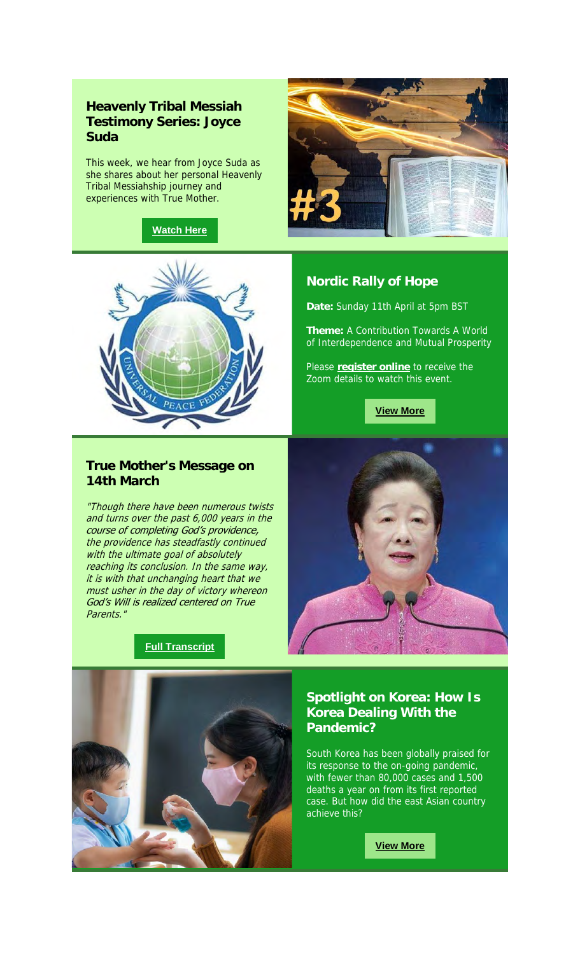# **Heavenly Tribal Messiah Testimony Series: Joyce Suda**

This week, we hear from Joyce Suda as she shares about her personal Heavenly Tribal Messiahship journey and experiences with True Mother.

#### **Watch Here**



#### **Nordic Rally of Hope**

**Date:** Sunday 11th April at 5pm BST

**Theme:** A Contribution Towards A World of Interdependence and Mutual Prosperity

Please **register online** to receive the Zoom details to watch this event.

**View More**

## **True Mother's Message on 14th March**

"Though there have been numerous twists and turns over the past 6,000 years in the course of completing God's providence, the providence has steadfastly continued with the ultimate goal of absolutely reaching its conclusion. In the same way, it is with that unchanging heart that we must usher in the day of victory whereon God's Will is realized centered on True Parents."

#### **Full Transcript**





## **Spotlight on Korea: How Is Korea Dealing With the Pandemic?**

South Korea has been globally praised for its response to the on-going pandemic, with fewer than 80,000 cases and 1,500 deaths a year on from its first reported case. But how did the east Asian country achieve this?

**View More**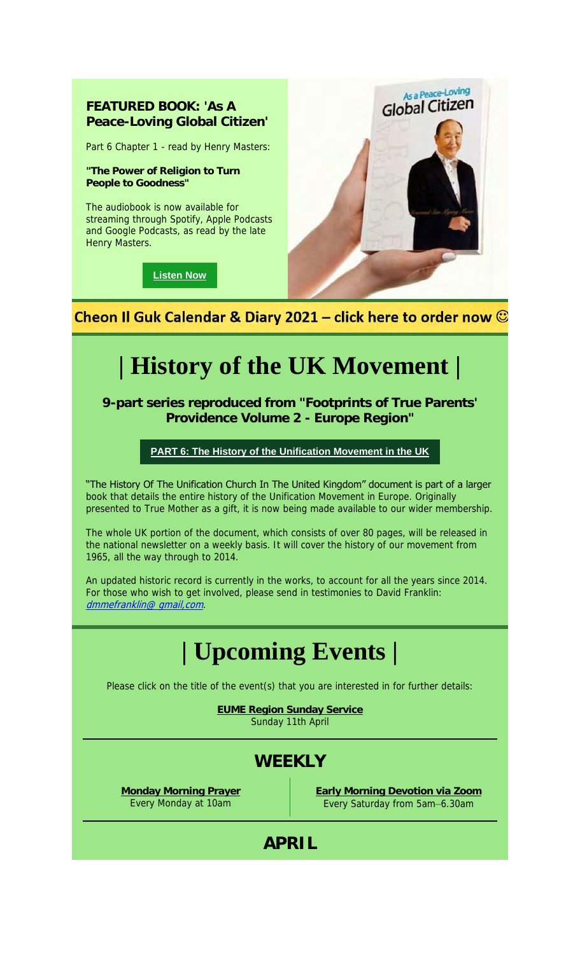# **FEATURED BOOK: 'As A Peace-Loving Global Citizen'**

Part 6 Chapter 1 - read by Henry Masters:

**"The Power of Religion to Turn People to Goodness"**

The audiobook is now available for streaming through Spotify, Apple Podcasts and Google Podcasts, as read by the late Henry Masters.

**Listen Now**



Cheon Il Guk Calendar & Diary 2021 – click here to order now  $\odot$ 

# **| History of the UK Movement |**

**9-part series reproduced from "Footprints of True Parents' Providence Volume 2 - Europe Region"**

#### **PART 6: The History of the Unification Movement in the UK**

"The History Of The Unification Church In The United Kingdom" document is part of a larger book that details the entire history of the Unification Movement in Europe. Originally presented to True Mother as a gift, it is now being made available to our wider membership.

The whole UK portion of the document, which consists of over 80 pages, will be released in the national newsletter on a weekly basis. It will cover the history of our movement from 1965, all the way through to 2014.

An updated historic record is currently in the works, to account for all the years since 2014. For those who wish to get involved, please send in testimonies to David Franklin: dmmefranklin@ gmail, com.

# **| Upcoming Events |**

Please click on the title of the event(s) that you are interested in for further details:

**EUME Region Sunday Service** Sunday 11th April

# **WEEKLY**

**Monday Morning Prayer** Every Monday at 10am

**Early Morning Devotion via Zoom** Every Saturday from 5am–6.30am